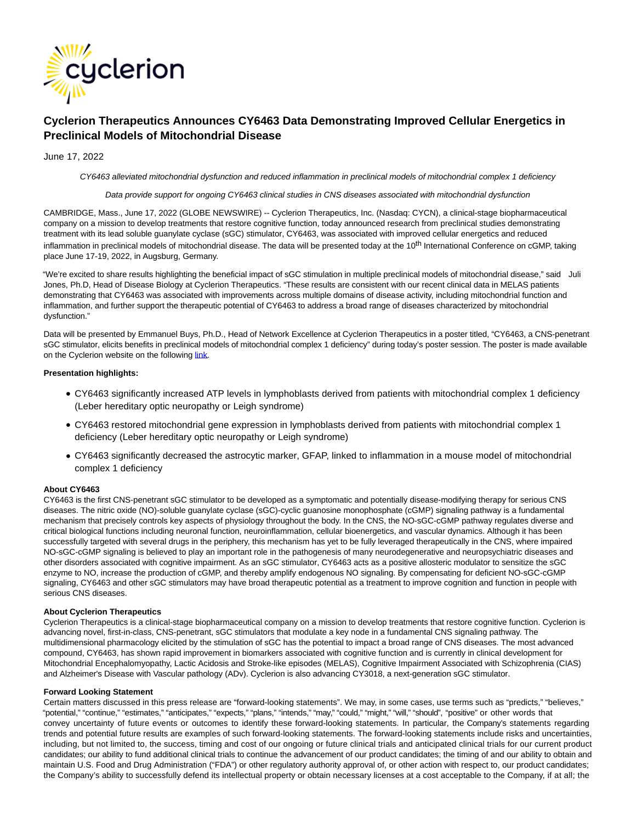

# **Cyclerion Therapeutics Announces CY6463 Data Demonstrating Improved Cellular Energetics in Preclinical Models of Mitochondrial Disease**

## June 17, 2022

CY6463 alleviated mitochondrial dysfunction and reduced inflammation in preclinical models of mitochondrial complex 1 deficiency

Data provide support for ongoing CY6463 clinical studies in CNS diseases associated with mitochondrial dysfunction

CAMBRIDGE, Mass., June 17, 2022 (GLOBE NEWSWIRE) -- Cyclerion Therapeutics, Inc. (Nasdaq: CYCN), a clinical-stage biopharmaceutical company on a mission to develop treatments that restore cognitive function, today announced research from preclinical studies demonstrating treatment with its lead soluble guanylate cyclase (sGC) stimulator, CY6463, was associated with improved cellular energetics and reduced inflammation in preclinical models of mitochondrial disease. The data will be presented today at the 10<sup>th</sup> International Conference on cGMP, taking place June 17-19, 2022, in Augsburg, Germany.

"We're excited to share results highlighting the beneficial impact of sGC stimulation in multiple preclinical models of mitochondrial disease," said Juli Jones, Ph.D, Head of Disease Biology at Cyclerion Therapeutics. "These results are consistent with our recent clinical data in MELAS patients demonstrating that CY6463 was associated with improvements across multiple domains of disease activity, including mitochondrial function and inflammation, and further support the therapeutic potential of CY6463 to address a broad range of diseases characterized by mitochondrial dysfunction."

Data will be presented by Emmanuel Buys, Ph.D., Head of Network Excellence at Cyclerion Therapeutics in a poster titled, "CY6463, a CNS-penetrant sGC stimulator, elicits benefits in preclinical models of mitochondrial complex 1 deficiency" during today's poster session. The poster is made available on the Cyclerion website on the following [link.](https://www.globenewswire.com/Tracker?data=u4Gvh_gRuQImu7-jVnKkb9osuHuxvSGTvMdD2SU4jGIuBXgHcLRrZibfzcf87ReMvhwqQDVknTNCNpKjqAXKO6RG-9LfUNgvd1ZZ_UWukWreN1nMLDV4TDy_RVzG49pt)

### **Presentation highlights:**

- CY6463 significantly increased ATP levels in lymphoblasts derived from patients with mitochondrial complex 1 deficiency (Leber hereditary optic neuropathy or Leigh syndrome)
- CY6463 restored mitochondrial gene expression in lymphoblasts derived from patients with mitochondrial complex 1 deficiency (Leber hereditary optic neuropathy or Leigh syndrome)
- CY6463 significantly decreased the astrocytic marker, GFAP, linked to inflammation in a mouse model of mitochondrial complex 1 deficiency

### **About CY6463**

CY6463 is the first CNS-penetrant sGC stimulator to be developed as a symptomatic and potentially disease-modifying therapy for serious CNS diseases. The nitric oxide (NO)-soluble guanylate cyclase (sGC)-cyclic guanosine monophosphate (cGMP) signaling pathway is a fundamental mechanism that precisely controls key aspects of physiology throughout the body. In the CNS, the NO-sGC-cGMP pathway regulates diverse and critical biological functions including neuronal function, neuroinflammation, cellular bioenergetics, and vascular dynamics. Although it has been successfully targeted with several drugs in the periphery, this mechanism has yet to be fully leveraged therapeutically in the CNS, where impaired NO-sGC-cGMP signaling is believed to play an important role in the pathogenesis of many neurodegenerative and neuropsychiatric diseases and other disorders associated with cognitive impairment. As an sGC stimulator, CY6463 acts as a positive allosteric modulator to sensitize the sGC enzyme to NO, increase the production of cGMP, and thereby amplify endogenous NO signaling. By compensating for deficient NO-sGC-cGMP signaling, CY6463 and other sGC stimulators may have broad therapeutic potential as a treatment to improve cognition and function in people with serious CNS diseases.

### **About Cyclerion Therapeutics**

Cyclerion Therapeutics is a clinical-stage biopharmaceutical company on a mission to develop treatments that restore cognitive function. Cyclerion is advancing novel, first-in-class, CNS-penetrant, sGC stimulators that modulate a key node in a fundamental CNS signaling pathway. The multidimensional pharmacology elicited by the stimulation of sGC has the potential to impact a broad range of CNS diseases. The most advanced compound, CY6463, has shown rapid improvement in biomarkers associated with cognitive function and is currently in clinical development for Mitochondrial Encephalomyopathy, Lactic Acidosis and Stroke-like episodes (MELAS), Cognitive Impairment Associated with Schizophrenia (CIAS) and Alzheimer's Disease with Vascular pathology (ADv). Cyclerion is also advancing CY3018, a next-generation sGC stimulator.

#### **Forward Looking Statement**

Certain matters discussed in this press release are "forward-looking statements". We may, in some cases, use terms such as "predicts," "believes," "potential," "continue," "estimates," "anticipates," "expects," "plans," "intends," "may," "could," "might," "will," "should", "positive" or other words that convey uncertainty of future events or outcomes to identify these forward-looking statements. In particular, the Company's statements regarding trends and potential future results are examples of such forward-looking statements. The forward-looking statements include risks and uncertainties, including, but not limited to, the success, timing and cost of our ongoing or future clinical trials and anticipated clinical trials for our current product candidates; our ability to fund additional clinical trials to continue the advancement of our product candidates; the timing of and our ability to obtain and maintain U.S. Food and Drug Administration ("FDA") or other regulatory authority approval of, or other action with respect to, our product candidates; the Company's ability to successfully defend its intellectual property or obtain necessary licenses at a cost acceptable to the Company, if at all; the